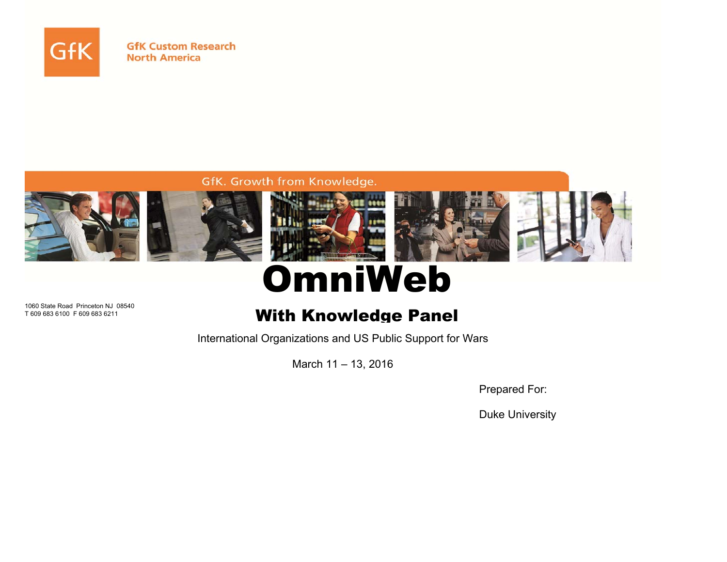

**GfK Custom Research North America** 

### GfK. Growth from Knowledge.



# OmniWeb

1060 State Road Princeton NJ 08540 T 609 683 6100 F 609 683 6211

## With Knowledge Panel

International Organizations and US Public Support for Wars

March 11 – 13, 2016

Prepared For:

Duke University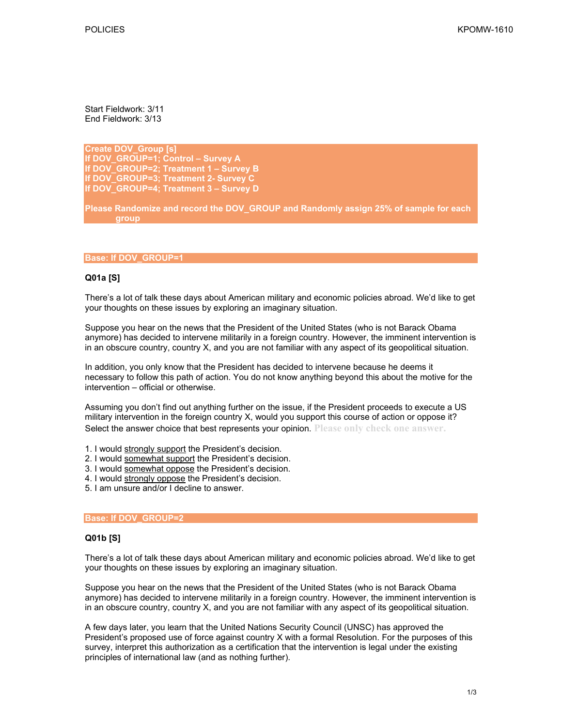Start Fieldwork: 3/11 End Fieldwork: 3/13

**Create DOV\_Group [s] If DOV\_GROUP=1; Control – Survey A If DOV\_GROUP=2; Treatment 1 – Survey B If DOV\_GROUP=3; Treatment 2- Survey C If DOV\_GROUP=4; Treatment 3 – Survey D** 

**Please Randomize and record the DOV\_GROUP and Randomly assign 25% of sample for each group** 

#### **Base: If DOV\_GROUP=1**

#### **Q01a [S]**

There's a lot of talk these days about American military and economic policies abroad. We'd like to get your thoughts on these issues by exploring an imaginary situation.

Suppose you hear on the news that the President of the United States (who is not Barack Obama anymore) has decided to intervene militarily in a foreign country. However, the imminent intervention is in an obscure country, country X, and you are not familiar with any aspect of its geopolitical situation.

In addition, you only know that the President has decided to intervene because he deems it necessary to follow this path of action. You do not know anything beyond this about the motive for the intervention – official or otherwise.

Assuming you don't find out anything further on the issue, if the President proceeds to execute a US military intervention in the foreign country X, would you support this course of action or oppose it? Select the answer choice that best represents your opinion. **Please only check one answer.**

- 1. I would strongly support the President's decision.
- 2. I would somewhat support the President's decision.
- 3. I would somewhat oppose the President's decision.
- 4. I would strongly oppose the President's decision.
- 5. I am unsure and/or I decline to answer.

#### **Base: If DOV\_GROUP=2**

#### **Q01b [S]**

There's a lot of talk these days about American military and economic policies abroad. We'd like to get your thoughts on these issues by exploring an imaginary situation.

Suppose you hear on the news that the President of the United States (who is not Barack Obama anymore) has decided to intervene militarily in a foreign country. However, the imminent intervention is in an obscure country, country X, and you are not familiar with any aspect of its geopolitical situation.

A few days later, you learn that the United Nations Security Council (UNSC) has approved the President's proposed use of force against country X with a formal Resolution. For the purposes of this survey, interpret this authorization as a certification that the intervention is legal under the existing principles of international law (and as nothing further).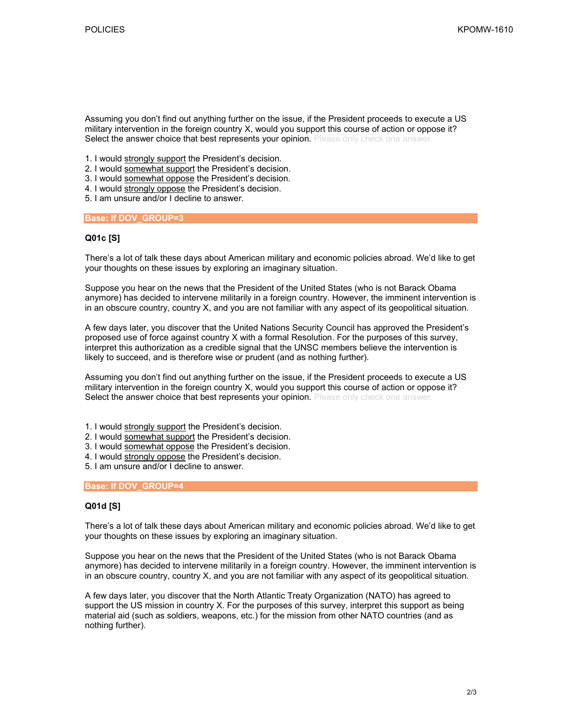Assuming you don't find out anything further on the issue, if the President proceeds to execute a US military intervention in the foreign country X, would you support this course of action or oppose it? Select the answer choice that best represents your opinion. Please only check one answer.

- 1. I would strongly support the President's decision.
- 2. I would somewhat support the President's decision.
- 3. I would somewhat oppose the President's decision.
- 4. I would strongly oppose the President's decision.
- 5. I am unsure and/or I decline to answer.

**Base: If DOV\_GROUP=3** 

#### **Q01c [S]**

There's a lot of talk these days about American military and economic policies abroad. We'd like to get your thoughts on these issues by exploring an imaginary situation.

Suppose you hear on the news that the President of the United States (who is not Barack Obama anymore) has decided to intervene militarily in a foreign country. However, the imminent intervention is in an obscure country, country X, and you are not familiar with any aspect of its geopolitical situation.

A few days later, you discover that the United Nations Security Council has approved the President's proposed use of force against country X with a formal Resolution. For the purposes of this survey, interpret this authorization as a credible signal that the UNSC members believe the intervention is likely to succeed, and is therefore wise or prudent (and as nothing further).

Assuming you don't find out anything further on the issue, if the President proceeds to execute a US military intervention in the foreign country X, would you support this course of action or oppose it? Select the answer choice that best represents your opinion. Please only check one answer.

- 1. I would strongly support the President's decision.
- 2. I would somewhat support the President's decision.
- 3. I would somewhat oppose the President's decision.
- 4. I would strongly oppose the President's decision.
- 5. I am unsure and/or I decline to answer.

#### **Base: If DOV\_GROUP=4**

#### **Q01d [S]**

There's a lot of talk these days about American military and economic policies abroad. We'd like to get your thoughts on these issues by exploring an imaginary situation.

Suppose you hear on the news that the President of the United States (who is not Barack Obama anymore) has decided to intervene militarily in a foreign country. However, the imminent intervention is in an obscure country, country X, and you are not familiar with any aspect of its geopolitical situation.

A few days later, you discover that the North Atlantic Treaty Organization (NATO) has agreed to support the US mission in country X. For the purposes of this survey, interpret this support as being material aid (such as soldiers, weapons, etc.) for the mission from other NATO countries (and as nothing further).